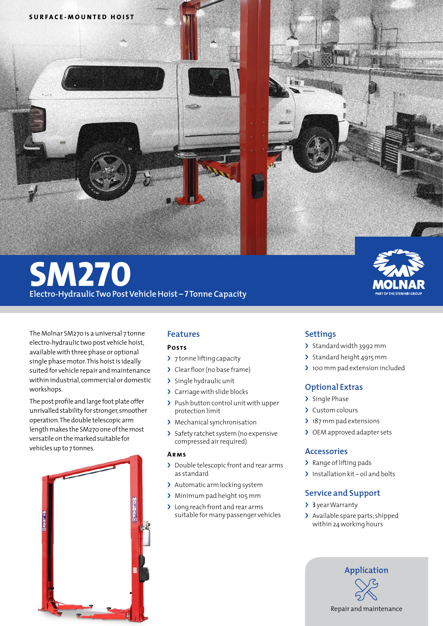

# **SM270 Electro-Hydraulic Two Post Vehicle Hoist – 7 Tonne Capacity**



The Molnar SM270 is a universal 7 tonne electro-hydraulic two post vehicle hoist, available with three phase or optional single phase motor. This hoist is ideally suited for vehicle repair and maintenance within industrial, commercial or domestic workshops.

The post profile and large foot plate offer unrivalled stability for stronger, smoother operation. The double telescopic arm length makes the SM270 one of the most versatile on the marked suitable for vehicles up to 7 tonnes.



## **Features**

#### **Posts**

- > 7 tonne lifting capacity
- › Clear floor(no base frame)
- > Single hydraulic unit
- > Carriage with slide blocks
- › Push button control unit with upper protection limit
- › Mechanical synchronisation
- › Safety ratchet system (no expensive compressed air required)

#### **Arms**

- › Double telescopic front and rear arms as standard
- > Automatic arm locking system
- > Minimum pad height 105 mm
- > Long reach front and rear arms suitable for many passenger vehicles

## **Settings**

- > Standard width 3992 mm
- > Standard height 4915 mm
- > 100 mm pad extension included

## **Optional Extras**

- > Single Phase
- > Custom colours
- > 187 mm pad extensions
- › OEM approved adapter sets

#### **Accessories**

- > Range of lifting pads
- > Installation kit oil and bolts

## **Service and Support**

- > 3 year Warranty
- > Available spare parts; shipped within 24working hours

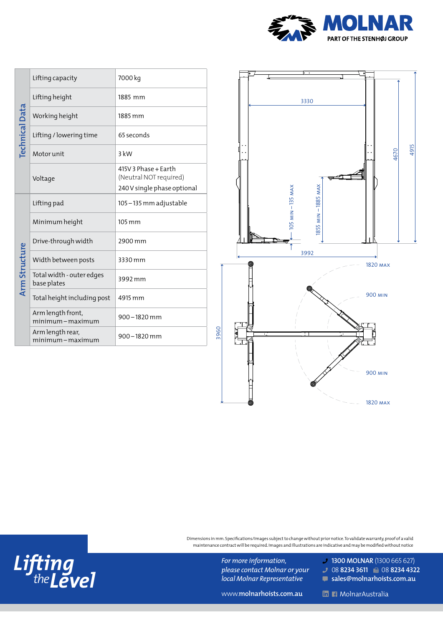

| <b>Technical Data</b><br><b>Arm Structure</b>        | Lifting capacity                         | 7000 kg                                                                       |
|------------------------------------------------------|------------------------------------------|-------------------------------------------------------------------------------|
|                                                      | Lifting height                           | 1885 mm                                                                       |
|                                                      | Working height                           | 1885 mm                                                                       |
|                                                      | Lifting / lowering time                  | 65 seconds                                                                    |
|                                                      | Motor unit                               | 3 kW                                                                          |
|                                                      | Voltage                                  | 415V 3 Phase + Earth<br>(Neutral NOT required)<br>240 V single phase optional |
|                                                      | Lifting pad                              | 105-135 mm adjustable                                                         |
|                                                      | Minimum height                           | 105 mm                                                                        |
|                                                      | Drive-through width                      | 2900 mm                                                                       |
|                                                      | Width between posts                      | 3330 mm                                                                       |
|                                                      | Total width - outer edges<br>base plates | 3992 mm                                                                       |
|                                                      | Total height including post              | 4915 mm                                                                       |
|                                                      | Arm length front,<br>minimum-maximum     | 900–1820 mm                                                                   |
|                                                      | Arm length rear,<br>minimum-maximum      | 900-1820 mm                                                                   |
|                                                      |                                          |                                                                               |
| Dimensions<br>mainten<br>Lifting<br>the <b>Level</b> |                                          |                                                                               |



Dimensions in mm. Specifications/Images subject to change without prior notice. To validate warranty, proof of a valid maintenance contract will be required. Images and Illustrations are indicative and may be modified without notice

> *For more information, please contact Molnar or your local Molnar Representative*

 **1300 MOLNAR** (1300 665 627) 08 **8234 3611**  08 **8234 4322 sales@molnarhoists.com.au**

www.**molnarhoists.com.au**

**M MolnarAustralia**